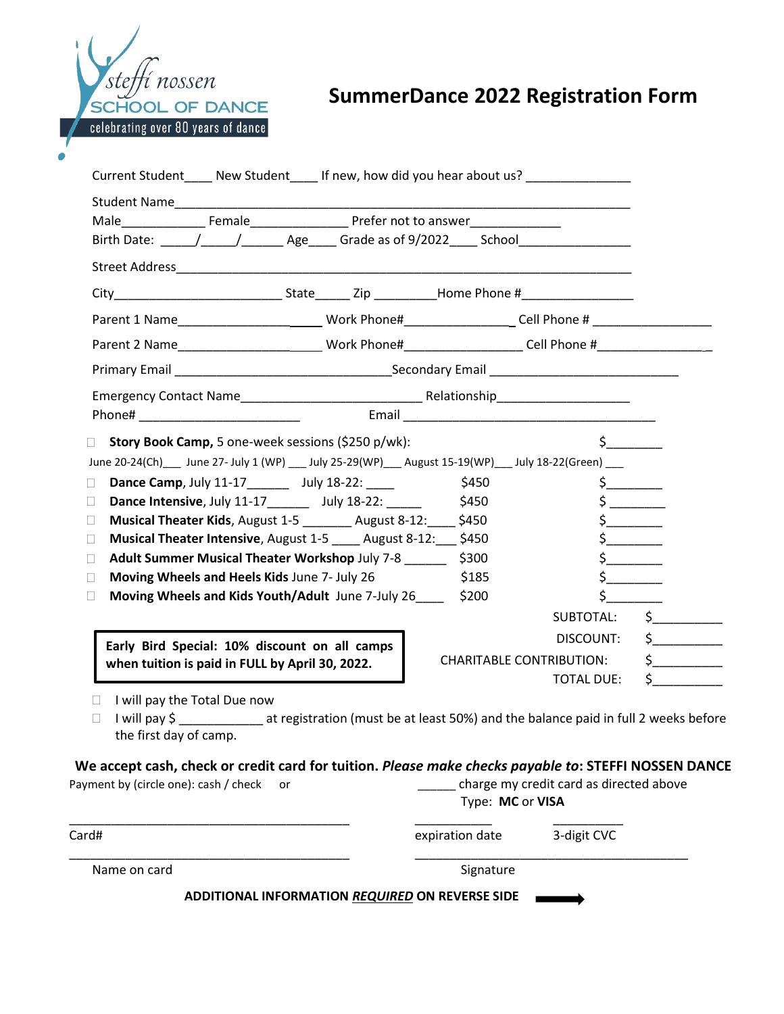

## **SummerDance 2022 Registration Form**

|                                                 | Birth Date: \_____/_____/ ________ Age_____ Grade as of 9/2022 _____ School________________________                                                                                                                                                                                                                                                |                         |                                                                                                                      |                                                                                                  |
|-------------------------------------------------|----------------------------------------------------------------------------------------------------------------------------------------------------------------------------------------------------------------------------------------------------------------------------------------------------------------------------------------------------|-------------------------|----------------------------------------------------------------------------------------------------------------------|--------------------------------------------------------------------------------------------------|
|                                                 |                                                                                                                                                                                                                                                                                                                                                    |                         |                                                                                                                      |                                                                                                  |
|                                                 |                                                                                                                                                                                                                                                                                                                                                    |                         |                                                                                                                      |                                                                                                  |
|                                                 | Parent 1 Name___________________________Work Phone#___________________Cell Phone # _________________                                                                                                                                                                                                                                               |                         |                                                                                                                      |                                                                                                  |
|                                                 | Parent 2 Name   __________________________Work Phone# _________________Cell Phone # ________________________________                                                                                                                                                                                                                               |                         |                                                                                                                      |                                                                                                  |
|                                                 |                                                                                                                                                                                                                                                                                                                                                    |                         |                                                                                                                      |                                                                                                  |
|                                                 |                                                                                                                                                                                                                                                                                                                                                    |                         |                                                                                                                      |                                                                                                  |
|                                                 |                                                                                                                                                                                                                                                                                                                                                    |                         |                                                                                                                      |                                                                                                  |
| П<br>П<br>П<br>П<br>$\Box$<br>П                 | Dance Intensive, July 11-17 _______ July 18-22: ______ \$450<br><b>Musical Theater Kids, August 1-5</b> August 8-12: \$450<br>Musical Theater Intensive, August 1-5 ____ August 8-12: \$450<br>Adult Summer Musical Theater Workshop July 7-8<br>Moving Wheels and Heels Kids June 7- July 26<br>Moving Wheels and Kids Youth/Adult June 7-July 26 | \$300<br>\$185<br>\$200 | $\frac{1}{5}$<br>$\frac{1}{2}$<br>$\frac{1}{2}$<br>$\frac{1}{2}$<br>$\sharp$<br>$\mathsf{\mathsf{S}}$ .<br>SUBTOTAL: | $\mathsf{\dot{S}}$                                                                               |
| when tuition is paid in FULL by April 30, 2022. | Early Bird Special: 10% discount on all camps                                                                                                                                                                                                                                                                                                      |                         | DISCOUNT:<br><b>CHARITABLE CONTRIBUTION:</b><br><b>TOTAL DUE:</b>                                                    | $\sharp$ and $\sharp$<br>$\frac{1}{2}$                                                           |
|                                                 | I will pay the Total Due now                                                                                                                                                                                                                                                                                                                       |                         |                                                                                                                      | I will pay \$ at registration (must be at least 50%) and the balance paid in full 2 weeks before |

| Card#        | expiration date                                 | 3-digit CVC              |  |
|--------------|-------------------------------------------------|--------------------------|--|
| Name on card | Signature                                       |                          |  |
|              | ADDITIONAL INFORMATION REQUIRED ON REVERSE SIDE | $\overline{\phantom{a}}$ |  |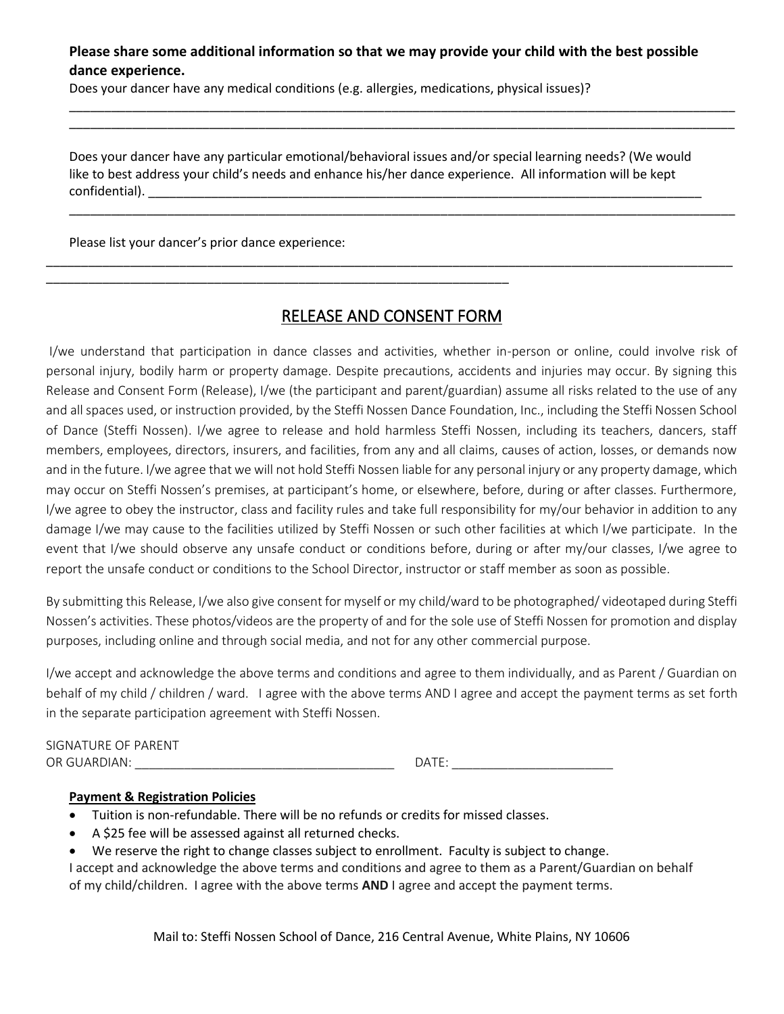## **Please share some additional information so that we may provide your child with the best possible dance experience.**

\_\_\_\_\_\_\_\_\_\_\_\_\_\_\_\_\_\_\_\_\_\_\_\_\_\_\_\_\_\_\_\_\_\_\_\_\_\_\_\_\_\_\_\_\_\_\_\_\_\_\_\_\_\_\_\_\_\_\_\_\_\_\_\_\_\_\_\_\_\_\_\_\_\_\_\_\_\_\_\_\_\_\_\_\_\_\_\_\_\_\_\_\_\_\_ \_\_\_\_\_\_\_\_\_\_\_\_\_\_\_\_\_\_\_\_\_\_\_\_\_\_\_\_\_\_\_\_\_\_\_\_\_\_\_\_\_\_\_\_\_\_\_\_\_\_\_\_\_\_\_\_\_\_\_\_\_\_\_\_\_\_\_\_\_\_\_\_\_\_\_\_\_\_\_\_\_\_\_\_\_\_\_\_\_\_\_\_\_\_\_

\_\_\_\_\_\_\_\_\_\_\_\_\_\_\_\_\_\_\_\_\_\_\_\_\_\_\_\_\_\_\_\_\_\_\_\_\_\_\_\_\_\_\_\_\_\_\_\_\_\_\_\_\_\_\_\_\_\_\_\_\_\_\_\_\_\_\_\_\_\_\_\_\_\_\_\_\_\_\_\_\_\_\_\_\_\_\_\_\_\_\_\_\_\_\_

Does your dancer have any medical conditions (e.g. allergies, medications, physical issues)?

Does your dancer have any particular emotional/behavioral issues and/or special learning needs? (We would like to best address your child's needs and enhance his/her dance experience. All information will be kept confidential).

Please list your dancer's prior dance experience:

\_\_\_\_\_\_\_\_\_\_\_\_\_\_\_\_\_\_\_\_\_\_\_\_\_\_\_\_\_\_\_\_\_\_\_\_\_\_\_\_\_\_\_\_\_\_\_\_\_\_\_\_\_\_\_\_\_\_\_\_\_\_\_\_\_\_

## RELEASE AND CONSENT FORM

\_\_\_\_\_\_\_\_\_\_\_\_\_\_\_\_\_\_\_\_\_\_\_\_\_\_\_\_\_\_\_\_\_\_\_\_\_\_\_\_\_\_\_\_\_\_\_\_\_\_\_\_\_\_\_\_\_\_\_\_\_\_\_\_\_\_\_\_\_\_\_\_\_\_\_\_\_\_\_\_\_\_\_\_\_\_\_\_\_\_\_\_\_\_\_\_\_\_

I/we understand that participation in dance classes and activities, whether in-person or online, could involve risk of personal injury, bodily harm or property damage. Despite precautions, accidents and injuries may occur. By signing this Release and Consent Form (Release), I/we (the participant and parent/guardian) assume all risks related to the use of any and all spaces used, or instruction provided, by the Steffi Nossen Dance Foundation, Inc., including the Steffi Nossen School of Dance (Steffi Nossen). I/we agree to release and hold harmless Steffi Nossen, including its teachers, dancers, staff members, employees, directors, insurers, and facilities, from any and all claims, causes of action, losses, or demands now and in the future. I/we agree that we will not hold Steffi Nossen liable for any personal injury or any property damage, which may occur on Steffi Nossen's premises, at participant's home, or elsewhere, before, during or after classes. Furthermore, I/we agree to obey the instructor, class and facility rules and take full responsibility for my/our behavior in addition to any damage I/we may cause to the facilities utilized by Steffi Nossen or such other facilities at which I/we participate. In the event that I/we should observe any unsafe conduct or conditions before, during or after my/our classes, I/we agree to report the unsafe conduct or conditions to the School Director, instructor or staff member as soon as possible.

By submitting this Release, I/we also give consent for myself or my child/ward to be photographed/ videotaped during Steffi Nossen's activities. These photos/videos are the property of and for the sole use of Steffi Nossen for promotion and display purposes, including online and through social media, and not for any other commercial purpose.

I/we accept and acknowledge the above terms and conditions and agree to them individually, and as Parent / Guardian on behalf of my child / children / ward. I agree with the above terms AND I agree and accept the payment terms as set forth in the separate participation agreement with Steffi Nossen.

| SIGNATURE OF PARENT |       |
|---------------------|-------|
| OR GUARDIAN:        | DATE: |

## **Payment & Registration Policies**

- Tuition is non-refundable. There will be no refunds or credits for missed classes.
- A \$25 fee will be assessed against all returned checks.
- We reserve the right to change classes subject to enrollment. Faculty is subject to change.

I accept and acknowledge the above terms and conditions and agree to them as a Parent/Guardian on behalf of my child/children. I agree with the above terms **AND** I agree and accept the payment terms.